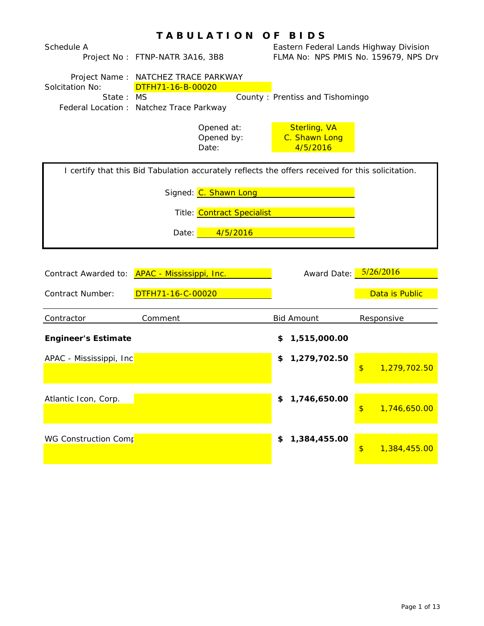| Schedule A<br>Solcitation No:<br>State:  | IABULAIION OF BIDS<br>Project No: FTNP-NATR 3A16, 3B8<br>Project Name: NATCHEZ TRACE PARKWAY<br>DTFH71-16-B-00020<br><b>MS</b><br>Federal Location : Natchez Trace Parkway    | Eastern Federal Lands Highway Division<br>County: Prentiss and Tishomingo | FLMA No: NPS PMIS No. 159679, NPS Drv |
|------------------------------------------|-------------------------------------------------------------------------------------------------------------------------------------------------------------------------------|---------------------------------------------------------------------------|---------------------------------------|
|                                          | Opened at:<br>Opened by:<br>Date:                                                                                                                                             | <b>Sterling, VA</b><br>C. Shawn Long<br>4/5/2016                          |                                       |
|                                          | I certify that this Bid Tabulation accurately reflects the offers received for this solicitation.<br>Signed: C. Shawn Long<br>Title: Contract Specialist<br>4/5/2016<br>Date: |                                                                           |                                       |
| Contract Awarded to:<br>Contract Number: | <b>APAC - Mississippi, Inc.</b><br>DTFH71-16-C-00020                                                                                                                          | Award Date:                                                               | 5/26/2016<br>Data is Public           |
| Contractor                               | Comment                                                                                                                                                                       | <b>Bid Amount</b>                                                         | Responsive                            |
| <b>Engineer's Estimate</b>               |                                                                                                                                                                               | 1,515,000.00<br>\$                                                        |                                       |
| APAC - Mississippi, Inc                  |                                                                                                                                                                               | 1,279,702.50<br>\$                                                        | \$<br>1,279,702.50                    |
| Atlantic Icon, Corp.                     |                                                                                                                                                                               | 1,746,650.00<br>\$                                                        | $\frac{1}{2}$<br>1,746,650.00         |
| WG Construction Comp                     |                                                                                                                                                                               | 1,384,455.00<br>\$                                                        | $\frac{1}{2}$<br>1,384,455.00         |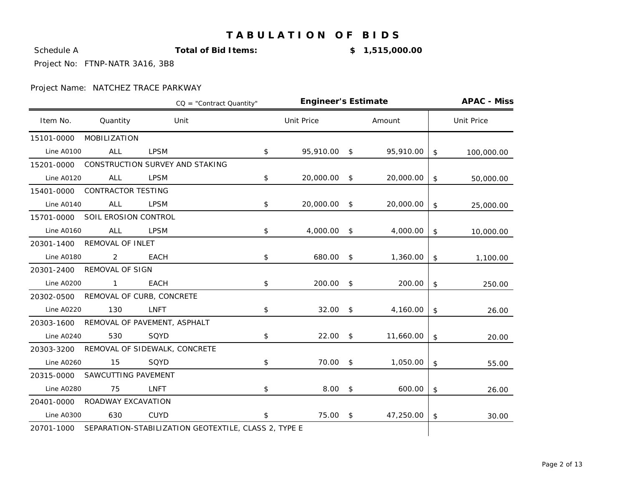**Schedule A Total of Bid Items: \$ 1,515,000.00** 

Project No: FTNP-NATR 3A16, 3B8

|                   |                           | $CO = "Contract Quantity"$                           | <b>Engineer's Estimate</b> |               |           | <b>APAC - Miss</b> |
|-------------------|---------------------------|------------------------------------------------------|----------------------------|---------------|-----------|--------------------|
| Item No.          | Quantity                  | Unit                                                 | <b>Unit Price</b>          |               | Amount    | <b>Unit Price</b>  |
| 15101-0000        | MOBILIZATION              |                                                      |                            |               |           |                    |
| <b>Line A0100</b> | <b>ALL</b>                | <b>LPSM</b>                                          | \$<br>95,910.00            | \$            | 95,910.00 | \$<br>100,000.00   |
| 15201-0000        |                           | CONSTRUCTION SURVEY AND STAKING                      |                            |               |           |                    |
| <b>Line A0120</b> | ALL                       | <b>LPSM</b>                                          | \$<br>20,000.00            | - \$          | 20,000.00 | \$<br>50,000.00    |
| 15401-0000        | <b>CONTRACTOR TESTING</b> |                                                      |                            |               |           |                    |
| Line A0140        | ALL                       | <b>LPSM</b>                                          | \$<br>20,000.00            | \$            | 20,000.00 | \$<br>25,000.00    |
| 15701-0000        | SOIL EROSION CONTROL      |                                                      |                            |               |           |                    |
| <b>Line A0160</b> | <b>ALL</b>                | <b>LPSM</b>                                          | \$<br>4,000.00             | \$            | 4,000.00  | \$<br>10,000.00    |
| 20301-1400        | REMOVAL OF INLET          |                                                      |                            |               |           |                    |
| <b>Line A0180</b> | 2                         | <b>EACH</b>                                          | \$<br>680.00               | \$            | 1,360.00  | \$<br>1,100.00     |
| 20301-2400        | REMOVAL OF SIGN           |                                                      |                            |               |           |                    |
| <b>Line A0200</b> | $\mathbf{1}$              | <b>EACH</b>                                          | \$<br>200.00               | \$            | 200.00    | \$<br>250.00       |
| 20302-0500        |                           | REMOVAL OF CURB, CONCRETE                            |                            |               |           |                    |
| <b>Line A0220</b> | 130                       | <b>LNFT</b>                                          | \$<br>32.00                | $^{\circ}$    | 4,160.00  | \$<br>26.00        |
| 20303-1600        |                           | REMOVAL OF PAVEMENT, ASPHALT                         |                            |               |           |                    |
| <b>Line A0240</b> | 530                       | SQYD                                                 | \$<br>22.00                | \$            | 11,660.00 | \$<br>20.00        |
| 20303-3200        |                           | REMOVAL OF SIDEWALK, CONCRETE                        |                            |               |           |                    |
| <b>Line A0260</b> | 15                        | SQYD                                                 | \$<br>70.00                | \$            | 1,050.00  | \$<br>55.00        |
| 20315-0000        | SAWCUTTING PAVEMENT       |                                                      |                            |               |           |                    |
| <b>Line A0280</b> | 75                        | <b>LNFT</b>                                          | \$<br>8.00                 | $\frac{1}{2}$ | 600.00    | \$<br>26.00        |
| 20401-0000        | ROADWAY EXCAVATION        |                                                      |                            |               |           |                    |
| <b>Line A0300</b> | 630                       | <b>CUYD</b>                                          | \$<br>75.00                | \$            | 47,250.00 | \$<br>30.00        |
| 20701-1000        |                           | SEPARATION-STABILIZATION GEOTEXTILE, CLASS 2, TYPE E |                            |               |           |                    |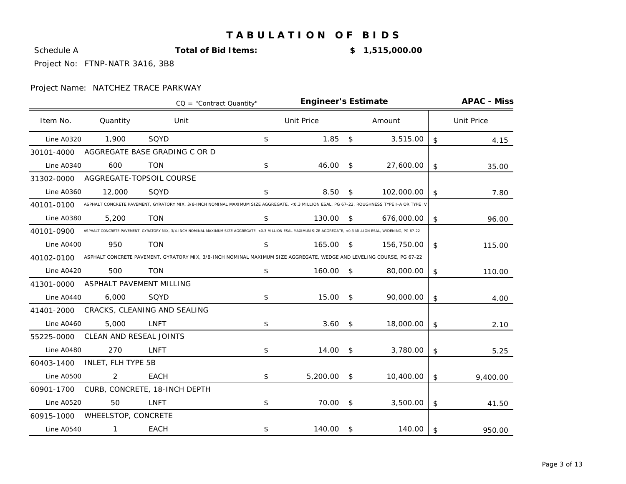**Schedule A Total of Bid Items: \$ 1,515,000.00** 

Project No: FTNP-NATR 3A16, 3B8

|                   |                          | $CO = "Contract Quantity"$                                                                                                                                        | <b>Engineer's Estimate</b> |              |            | <b>APAC - Miss</b> |
|-------------------|--------------------------|-------------------------------------------------------------------------------------------------------------------------------------------------------------------|----------------------------|--------------|------------|--------------------|
| Item No.          | Quantity                 | Unit                                                                                                                                                              | <b>Unit Price</b>          |              | Amount     | <b>Unit Price</b>  |
| <b>Line A0320</b> | 1,900                    | SQYD                                                                                                                                                              | \$<br>1.85                 | \$           | 3,515.00   | \$<br>4.15         |
| 30101-4000        |                          | AGGREGATE BASE GRADING C OR D                                                                                                                                     |                            |              |            |                    |
| <b>Line A0340</b> | 600                      | <b>TON</b>                                                                                                                                                        | \$<br>46.00                | \$           | 27,600.00  | \$<br>35.00        |
| 31302-0000        |                          | AGGREGATE-TOPSOIL COURSE                                                                                                                                          |                            |              |            |                    |
| <b>Line A0360</b> | 12,000                   | SQYD                                                                                                                                                              | \$<br>8.50                 | \$           | 102,000.00 | \$<br>7.80         |
| 40101-0100        |                          | ASPHALT CONCRETE PAVEMENT, GYRATORY MIX, 3/8-INCH NOMINAL MAXIMUM SIZE AGGREGATE, <0.3 MILLION ESAL, PG 67-22, ROUGHNESS TYPE I-A OR TYPE IV                      |                            |              |            |                    |
| <b>Line A0380</b> | 5,200                    | <b>TON</b>                                                                                                                                                        | \$<br>130.00               | \$           | 676,000.00 | \$<br>96.00        |
| 40101-0900        |                          | ASPHALT CONCRETE PAVEMENT, GYRATORY MIX, 3/4-INCH NOMINAL MAXIMUM SIZE AGGREGATE, <0.3 MILLION ESAL MAXIMUM SIZE AGGREGATE, <0.3 MILLION ESAL, WIDENING, PG 67-22 |                            |              |            |                    |
| <b>Line A0400</b> | 950                      | <b>TON</b>                                                                                                                                                        | \$<br>165.00               | \$           | 156,750.00 | \$<br>115.00       |
| 40102-0100        |                          | ASPHALT CONCRETE PAVEMENT, GYRATORY MIX, 3/8-INCH NOMINAL MAXIMUM SIZE AGGREGATE, WEDGE AND LEVELING COURSE, PG 67-22                                             |                            |              |            |                    |
| <b>Line A0420</b> | 500                      | <b>TON</b>                                                                                                                                                        | \$<br>160.00               | $\mathsf{S}$ | 80,000.00  | \$<br>110.00       |
| 41301-0000        | ASPHALT PAVEMENT MILLING |                                                                                                                                                                   |                            |              |            |                    |
| Line A0440        | 6,000                    | SQYD                                                                                                                                                              | \$<br>15.00                | \$           | 90,000.00  | \$<br>4.00         |
| 41401-2000        |                          | CRACKS, CLEANING AND SEALING                                                                                                                                      |                            |              |            |                    |
| <b>Line A0460</b> | 5,000                    | <b>LNFT</b>                                                                                                                                                       | \$<br>3.60                 | \$           | 18,000.00  | \$<br>2.10         |
| 55225-0000        | CLEAN AND RESEAL JOINTS  |                                                                                                                                                                   |                            |              |            |                    |
| Line A0480        | 270                      | <b>LNFT</b>                                                                                                                                                       | \$<br>14.00                | \$           | 3,780.00   | \$<br>5.25         |
| 60403-1400        | INLET, FLH TYPE 5B       |                                                                                                                                                                   |                            |              |            |                    |
| <b>Line A0500</b> | 2                        | <b>EACH</b>                                                                                                                                                       | \$<br>5,200.00             | \$           | 10,400.00  | \$<br>9,400.00     |
| 60901-1700        |                          | CURB, CONCRETE, 18-INCH DEPTH                                                                                                                                     |                            |              |            |                    |
| <b>Line A0520</b> | 50                       | <b>LNFT</b>                                                                                                                                                       | \$<br>70.00                | \$           | 3,500.00   | \$<br>41.50        |
| 60915-1000        | WHEELSTOP, CONCRETE      |                                                                                                                                                                   |                            |              |            |                    |
| <b>Line A0540</b> | 1                        | <b>EACH</b>                                                                                                                                                       | \$<br>140.00               | \$           | 140.00     | \$<br>950.00       |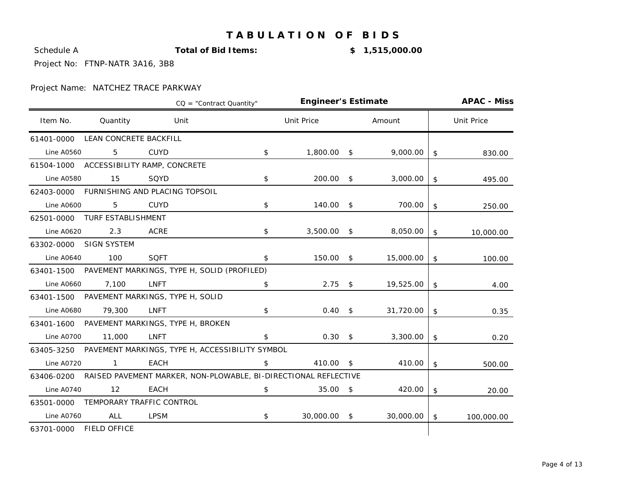**Schedule A Total of Bid Items: \$ 1,515,000.00** 

Project No: FTNP-NATR 3A16, 3B8

|                   |                        | $CO = "Contract Quantity"$                                      | <b>Engineer's Estimate</b> |     |           | <b>APAC - Miss</b> |
|-------------------|------------------------|-----------------------------------------------------------------|----------------------------|-----|-----------|--------------------|
| Item No.          | Quantity               | Unit                                                            | <b>Unit Price</b>          |     | Amount    | <b>Unit Price</b>  |
| 61401-0000        | LEAN CONCRETE BACKFILL |                                                                 |                            |     |           |                    |
| <b>Line A0560</b> | 5                      | <b>CUYD</b>                                                     | \$<br>1,800.00             | \$  | 9,000.00  | \$<br>830.00       |
| 61504-1000        |                        | ACCESSIBILITY RAMP, CONCRETE                                    |                            |     |           |                    |
| Line A0580        | 15                     | SQYD                                                            | \$<br>200.00               | \$  | 3,000.00  | \$<br>495.00       |
| 62403-0000        |                        | FURNISHING AND PLACING TOPSOIL                                  |                            |     |           |                    |
| <b>Line A0600</b> | 5                      | <b>CUYD</b>                                                     | \$<br>140.00               | \$  | 700.00    | \$<br>250.00       |
| 62501-0000        | TURF ESTABLISHMENT     |                                                                 |                            |     |           |                    |
| <b>Line A0620</b> | 2.3                    | <b>ACRE</b>                                                     | \$<br>3,500.00             | \$  | 8,050.00  | \$<br>10,000.00    |
| 63302-0000        | <b>SIGN SYSTEM</b>     |                                                                 |                            |     |           |                    |
| <b>Line A0640</b> | 100                    | <b>SQFT</b>                                                     | \$<br>150.00 \$            |     | 15,000.00 | \$<br>100.00       |
|                   |                        | 63401-1500 PAVEMENT MARKINGS, TYPE H, SOLID (PROFILED)          |                            |     |           |                    |
| <b>Line A0660</b> | 7,100                  | <b>LNFT</b>                                                     | \$<br>2.75                 | \$  | 19,525.00 | \$<br>4.00         |
|                   |                        | 63401-1500 PAVEMENT MARKINGS, TYPE H, SOLID                     |                            |     |           |                    |
| <b>Line A0680</b> | 79,300                 | <b>LNFT</b>                                                     | \$<br>0.40                 | \$  | 31,720.00 | \$<br>0.35         |
| 63401-1600        |                        | PAVEMENT MARKINGS, TYPE H, BROKEN                               |                            |     |           |                    |
| Line A0700        | 11,000                 | <b>LNFT</b>                                                     | \$<br>$0.30 \quad$ \$      |     | 3,300.00  | \$<br>0.20         |
| 63405-3250        |                        | PAVEMENT MARKINGS, TYPE H, ACCESSIBILITY SYMBOL                 |                            |     |           |                    |
| <b>Line A0720</b> | $\mathbf{1}$           | <b>EACH</b>                                                     | \$<br>410.00               | \$  | 410.00    | \$<br>500.00       |
| 63406-0200        |                        | RAISED PAVEMENT MARKER, NON-PLOWABLE, BI-DIRECTIONAL REFLECTIVE |                            |     |           |                    |
| Line A0740        | 12                     | <b>EACH</b>                                                     | \$<br>35.00                | -\$ | 420.00    | \$<br>20.00        |
| 63501-0000        |                        | TEMPORARY TRAFFIC CONTROL                                       |                            |     |           |                    |
| <b>Line A0760</b> | <b>ALL</b>             | <b>LPSM</b>                                                     | \$<br>30,000.00            | \$  | 30,000.00 | \$<br>100,000.00   |
| 63701-0000        | <b>FIELD OFFICE</b>    |                                                                 |                            |     |           |                    |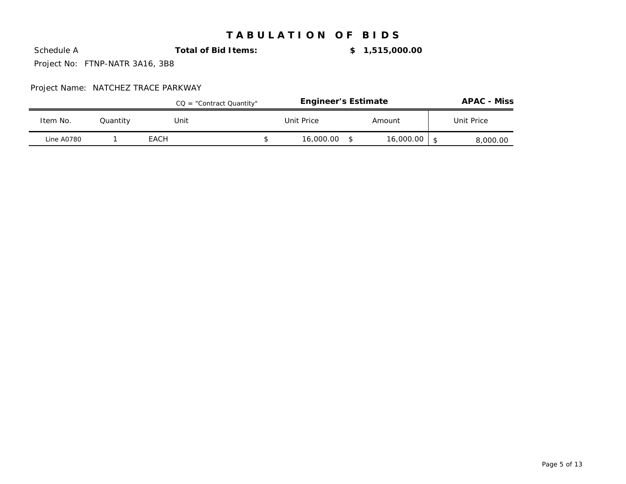**Schedule A Total of Bid Items: \$ 1,515,000.00** 

Project No: FTNP-NATR 3A16, 3B8

|            |          | $CQ = "Contract Quantity"$ | <b>Engineer's Estimate</b> |           | <b>APAC - Miss</b> |
|------------|----------|----------------------------|----------------------------|-----------|--------------------|
| Item No.   | Quantity | Unit                       | Unit Price                 | Amount    | Unit Price         |
| Line A0780 |          | EACH                       | 16.000.00                  | 16,000.00 | 8,000.00           |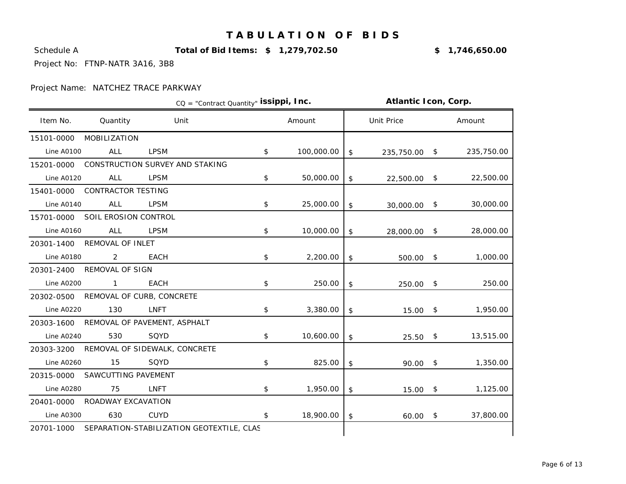Schedule A **Total of Bid Items: \$ 1,279,702.50** 15.3% **\$ 1,746,650.00**

Project No: FTNP-NATR 3A16, 3B8

|                   |                           | CQ = "Contract Quantity" issippi, Inc.               |                  |                           | Atlantic Icon, Corp. |                 |
|-------------------|---------------------------|------------------------------------------------------|------------------|---------------------------|----------------------|-----------------|
| Item No.          | Quantity                  | Unit                                                 | Amount           |                           | <b>Unit Price</b>    | Amount          |
| 15101-0000        | <b>MOBILIZATION</b>       |                                                      |                  |                           |                      |                 |
| <b>Line A0100</b> | ALL                       | <b>LPSM</b>                                          | \$<br>100,000.00 | \$                        | 235,750.00 \$        | 235,750.00      |
| 15201-0000        |                           | CONSTRUCTION SURVEY AND STAKING                      |                  |                           |                      |                 |
| <b>Line A0120</b> | ALL                       | <b>LPSM</b>                                          | \$<br>50,000.00  | \$                        | 22,500.00            | \$<br>22,500.00 |
| 15401-0000        | <b>CONTRACTOR TESTING</b> |                                                      |                  |                           |                      |                 |
| <b>Line A0140</b> | <b>ALL</b>                | <b>LPSM</b>                                          | \$<br>25,000.00  | \$                        | 30,000.00            | \$<br>30,000.00 |
| 15701-0000        | SOIL EROSION CONTROL      |                                                      |                  |                           |                      |                 |
| <b>Line A0160</b> | ALL                       | <b>LPSM</b>                                          | \$<br>10,000.00  | $$\mathfrak{s}$$          | 28,000.00 \$         | 28,000.00       |
| 20301-1400        | REMOVAL OF INLET          |                                                      |                  |                           |                      |                 |
| <b>Line A0180</b> | $\overline{2}$            | <b>EACH</b>                                          | \$<br>2,200.00   | $\boldsymbol{\mathsf{S}}$ | $500.00$ \$          | 1,000.00        |
| 20301-2400        | <b>REMOVAL OF SIGN</b>    |                                                      |                  |                           |                      |                 |
| <b>Line A0200</b> | $1 \quad \blacksquare$    | EACH                                                 | \$<br>250.00     | \$                        | 250.00 \$            | 250.00          |
| 20302-0500        |                           | REMOVAL OF CURB, CONCRETE                            |                  |                           |                      |                 |
| <b>Line A0220</b> | 130                       | LNFT                                                 | \$<br>3,380.00   | \$                        | $15.00$ \$           | 1,950.00        |
| 20303-1600        |                           | REMOVAL OF PAVEMENT, ASPHALT                         |                  |                           |                      |                 |
| Line A0240        | 530                       | SQYD                                                 | \$<br>10,600.00  | $\boldsymbol{\mathsf{S}}$ | $25.50$ \$           | 13,515.00       |
| 20303-3200        |                           | REMOVAL OF SIDEWALK, CONCRETE                        |                  |                           |                      |                 |
| <b>Line A0260</b> | 15                        | SQYD                                                 | \$<br>825.00     | \$                        | $90.00$ \$           | 1,350.00        |
| 20315-0000        | SAWCUTTING PAVEMENT       |                                                      |                  |                           |                      |                 |
| <b>Line A0280</b> | 75                        | <b>LNFT</b>                                          | \$<br>1,950.00   | \$                        | $15.00$ \$           | 1,125.00        |
| 20401-0000        | ROADWAY EXCAVATION        |                                                      |                  |                           |                      |                 |
| <b>Line A0300</b> | 630                       | <b>CUYD</b>                                          | \$<br>18,900.00  | \$                        | $60.00$ \$           | 37,800.00       |
|                   |                           | 20701-1000 SEPARATION-STABILIZATION GEOTEXTILE, CLAS |                  |                           |                      |                 |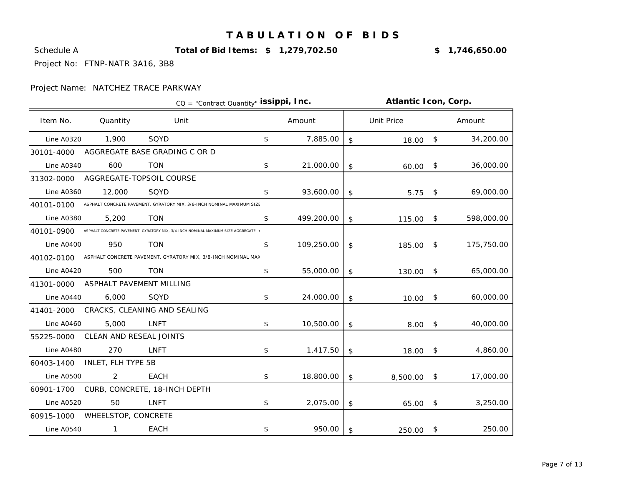Schedule A **Total of Bid Items: \$ 1,279,702.50** 15.3% **\$ 1,746,650.00**

Project No: FTNP-NATR 3A16, 3B8

|                   |                          |                                                                                     | CQ = "Contract Quantity" issippi, Inc. |            | Atlantic Icon, Corp. |              |            |
|-------------------|--------------------------|-------------------------------------------------------------------------------------|----------------------------------------|------------|----------------------|--------------|------------|
| Item No.          | Quantity                 | Unit                                                                                |                                        | Amount     | <b>Unit Price</b>    |              | Amount     |
| <b>Line A0320</b> | 1,900                    | SQYD                                                                                | \$                                     | 7,885.00   | \$<br>18.00          | $\sqrt{5}$   | 34,200.00  |
| 30101-4000        |                          | AGGREGATE BASE GRADING C OR D                                                       |                                        |            |                      |              |            |
| <b>Line A0340</b> | 600                      | <b>TON</b>                                                                          | \$                                     | 21,000.00  | \$<br>60.00          | $\sqrt{5}$   | 36,000.00  |
| 31302-0000        |                          | AGGREGATE-TOPSOIL COURSE                                                            |                                        |            |                      |              |            |
| <b>Line A0360</b> | 12,000                   | SQYD                                                                                | \$                                     | 93,600.00  | \$<br>5.75           | $\sqrt{2}$   | 69,000.00  |
| 40101-0100        |                          | ASPHALT CONCRETE PAVEMENT, GYRATORY MIX, 3/8-INCH NOMINAL MAXIMUM SIZE              |                                        |            |                      |              |            |
| <b>Line A0380</b> | 5,200                    | <b>TON</b>                                                                          | \$                                     | 499,200.00 | \$<br>115.00         | \$           | 598,000.00 |
| 40101-0900        |                          | ASPHALT CONCRETE PAVEMENT, GYRATORY MIX, 3/4-INCH NOMINAL MAXIMUM SIZE AGGREGATE, < |                                        |            |                      |              |            |
| <b>Line A0400</b> | 950                      | <b>TON</b>                                                                          | \$                                     | 109,250.00 | \$<br>185.00 \$      |              | 175,750.00 |
| 40102-0100        |                          | ASPHALT CONCRETE PAVEMENT, GYRATORY MIX, 3/8-INCH NOMINAL MAX                       |                                        |            |                      |              |            |
| <b>Line A0420</b> | 500                      | <b>TON</b>                                                                          | \$                                     | 55,000.00  | \$<br>130.00         | $\mathsf{S}$ | 65,000.00  |
| 41301-0000        | ASPHALT PAVEMENT MILLING |                                                                                     |                                        |            |                      |              |            |
| Line A0440        | 6,000                    | SQYD                                                                                | \$                                     | 24,000.00  | \$<br>10.00          | $\sqrt{3}$   | 60,000.00  |
| 41401-2000        |                          | CRACKS, CLEANING AND SEALING                                                        |                                        |            |                      |              |            |
| <b>Line A0460</b> | 5,000                    | <b>LNFT</b>                                                                         | \$                                     | 10,500.00  | \$<br>8.00           | \$           | 40,000.00  |
| 55225-0000        | CLEAN AND RESEAL JOINTS  |                                                                                     |                                        |            |                      |              |            |
| Line A0480        | 270                      | <b>LNFT</b>                                                                         | \$                                     | 1,417.50   | \$<br>18.00          | \$           | 4,860.00   |
| 60403-1400        | INLET, FLH TYPE 5B       |                                                                                     |                                        |            |                      |              |            |
| <b>Line A0500</b> | 2                        | <b>EACH</b>                                                                         | \$                                     | 18,800.00  | \$<br>$8,500.00$ \$  |              | 17,000.00  |
| 60901-1700        |                          | CURB, CONCRETE, 18-INCH DEPTH                                                       |                                        |            |                      |              |            |
| <b>Line A0520</b> | 50                       | <b>LNFT</b>                                                                         | \$                                     | 2,075.00   | \$<br>$65.00$ \$     |              | 3,250.00   |
| 60915-1000        | WHEELSTOP, CONCRETE      |                                                                                     |                                        |            |                      |              |            |
| <b>Line A0540</b> | $\mathbf{1}$             | <b>EACH</b>                                                                         | \$                                     | 950.00     | \$<br>250.00         | \$           | 250.00     |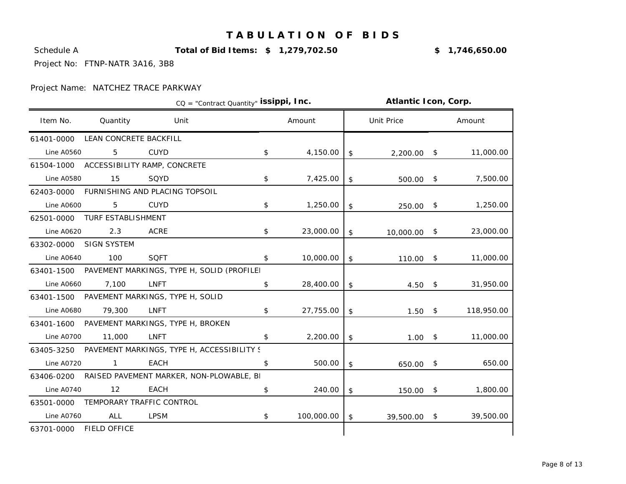Schedule A **Total of Bid Items: \$ 1,279,702.50** 15.3% **\$ 1,746,650.00**

Project No: FTNP-NATR 3A16, 3B8

|                   |                        |                                            | CQ = "Contract Quantity" issippi, Inc. |            |                | Atlantic Icon, Corp. |                  |
|-------------------|------------------------|--------------------------------------------|----------------------------------------|------------|----------------|----------------------|------------------|
| Item No.          | Quantity               | Unit                                       |                                        | Amount     |                | Unit Price           | Amount           |
| 61401-0000        | LEAN CONCRETE BACKFILL |                                            |                                        |            |                |                      |                  |
| <b>Line A0560</b> | 5                      | <b>CUYD</b>                                | \$                                     | 4,150.00   | \$             | $2,200.00$ \$        | 11,000.00        |
| 61504-1000        |                        | ACCESSIBILITY RAMP, CONCRETE               |                                        |            |                |                      |                  |
| <b>Line A0580</b> | 15                     | SQYD                                       | \$                                     | 7,425.00   | \$             | $500.00$ \$          | 7,500.00         |
| 62403-0000        |                        | FURNISHING AND PLACING TOPSOIL             |                                        |            |                |                      |                  |
| <b>Line A0600</b> | 5                      | <b>CUYD</b>                                | \$                                     | 1,250.00   | \$             | 250.00               | \$<br>1,250.00   |
| 62501-0000        | TURF ESTABLISHMENT     |                                            |                                        |            |                |                      |                  |
| <b>Line A0620</b> | 2.3                    | ACRE                                       | \$                                     | 23,000.00  | \$             | 10,000.00            | \$<br>23,000.00  |
| 63302-0000        | <b>SIGN SYSTEM</b>     |                                            |                                        |            |                |                      |                  |
| <b>Line A0640</b> | 100                    | <b>SQFT</b>                                | \$                                     | 10,000.00  | \$             | 110.00               | \$<br>11,000.00  |
| 63401-1500        |                        | PAVEMENT MARKINGS, TYPE H, SOLID (PROFILEI |                                        |            |                |                      |                  |
| <b>Line A0660</b> | 7,100                  | <b>LNFT</b>                                | \$                                     | 28,400.00  | \$             | $4.50$ \$            | 31,950.00        |
| 63401-1500        |                        | PAVEMENT MARKINGS, TYPE H, SOLID           |                                        |            |                |                      |                  |
| <b>Line A0680</b> | 79,300                 | LNFT                                       | \$                                     | 27,755.00  | \$             | 1.50                 | \$<br>118,950.00 |
| 63401-1600        |                        | PAVEMENT MARKINGS, TYPE H, BROKEN          |                                        |            |                |                      |                  |
| Line A0700        | 11,000                 | <b>LNFT</b>                                | \$                                     | 2,200.00   | \$             | $1.00$ \$            | 11,000.00        |
| 63405-3250        |                        | PAVEMENT MARKINGS, TYPE H, ACCESSIBILITY S |                                        |            |                |                      |                  |
| <b>Line A0720</b> | $\overline{1}$         | <b>EACH</b>                                | \$                                     | 500.00     | \$             | 650.00               | \$<br>650.00     |
| 63406-0200        |                        | RAISED PAVEMENT MARKER, NON-PLOWABLE, B    |                                        |            |                |                      |                  |
| Line A0740        | 12                     | <b>EACH</b>                                | \$                                     | 240.00     | $\mathfrak{L}$ | 150.00               | \$<br>1,800.00   |
| 63501-0000        |                        | TEMPORARY TRAFFIC CONTROL                  |                                        |            |                |                      |                  |
| Line A0760        | <b>ALL</b>             | LPSM                                       | \$                                     | 100,000.00 | \$             | 39,500.00            | \$<br>39,500.00  |
| 63701-0000        | <b>FIELD OFFICE</b>    |                                            |                                        |            |                |                      |                  |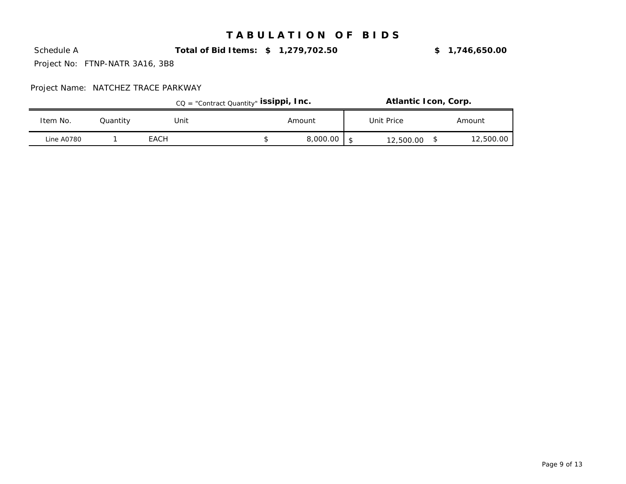Schedule A **Total of Bid Items: \$ 1,279,702.50** 15.3% **\$ 1,746,650.00**

Project No: FTNP-NATR 3A16, 3B8

|            |          |      | CQ = "Contract Quantity" issippi, Inc. |          | Atlantic Icon, Corp. |           |
|------------|----------|------|----------------------------------------|----------|----------------------|-----------|
| Item No.   | Quantity | Unit |                                        | Amount   | Unit Price           | Amount    |
| Line A0780 |          | EACH |                                        | 8,000.00 | 12,500.00            | 12,500.00 |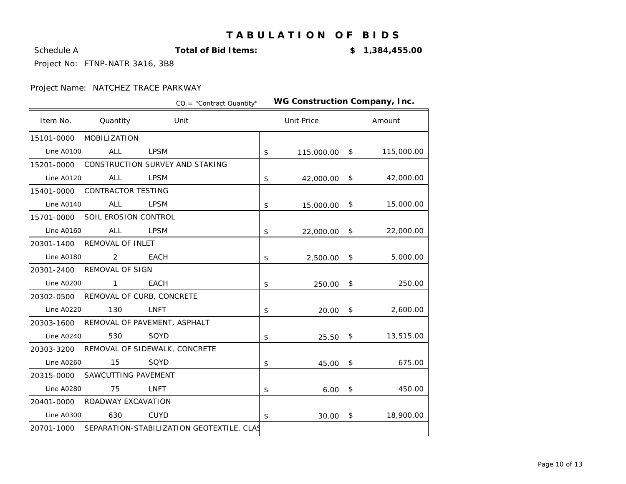Schedule A **Total of Bid Items:**

-8.6% **\$ 1,384,455.00**

Project No: FTNP-NATR 3A16, 3B8

|                   |                                      |             | CQ = "Contract Quantity"                             |                  | WG Construction Company, Inc. |                  |
|-------------------|--------------------------------------|-------------|------------------------------------------------------|------------------|-------------------------------|------------------|
| Item No.          | Quantity                             |             | Unit                                                 |                  | <b>Unit Price</b>             | Amount           |
| 15101-0000        | MOBILIZATION                         |             |                                                      |                  |                               |                  |
| <b>Line A0100</b> | <b>ALL</b>                           | <b>LPSM</b> |                                                      | $$\mathfrak{s}$$ | 115,000.00                    | \$<br>115,000.00 |
| 15201-0000        | CONSTRUCTION SURVEY AND STAKING      |             |                                                      |                  |                               |                  |
| <b>Line A0120</b> | <b>ALL</b>                           | <b>LPSM</b> |                                                      | \$               | 42,000.00                     | \$<br>42,000.00  |
| 15401-0000        | <b>CONTRACTOR TESTING</b>            |             |                                                      |                  |                               |                  |
| <b>Line A0140</b> | <b>ALL</b>                           | <b>LPSM</b> |                                                      | \$               | 15,000.00                     | \$<br>15,000.00  |
| 15701-0000        | SOIL EROSION CONTROL                 |             |                                                      |                  |                               |                  |
| Line A0160        | <b>ALL</b>                           | <b>LPSM</b> |                                                      | \$               | 22,000.00                     | \$<br>22,000.00  |
| 20301-1400        | REMOVAL OF INLET                     |             |                                                      |                  |                               |                  |
| <b>Line A0180</b> | 2                                    | <b>EACH</b> |                                                      | \$               | 2,500.00                      | \$<br>5,000.00   |
| 20301-2400        | REMOVAL OF SIGN                      |             |                                                      |                  |                               |                  |
| <b>Line A0200</b> | $\mathbf{1}$                         | <b>EACH</b> |                                                      | \$               | 250.00                        | \$<br>250.00     |
|                   | 20302-0500 REMOVAL OF CURB, CONCRETE |             |                                                      |                  |                               |                  |
| <b>Line A0220</b> | 130                                  | LNFT        |                                                      | \$               | 20.00                         | \$<br>2,600.00   |
| 20303-1600        | REMOVAL OF PAVEMENT, ASPHALT         |             |                                                      |                  |                               |                  |
| <b>Line A0240</b> | 530                                  | SQYD        |                                                      | \$               | 25.50                         | \$<br>13,515.00  |
| 20303-3200        | REMOVAL OF SIDEWALK, CONCRETE        |             |                                                      |                  |                               |                  |
| <b>Line A0260</b> | 15                                   | SQYD        |                                                      | \$               | 45.00                         | \$<br>675.00     |
| 20315-0000        | SAWCUTTING PAVEMENT                  |             |                                                      |                  |                               |                  |
| <b>Line A0280</b> | 75                                   | <b>LNFT</b> |                                                      | \$               | 6.00                          | \$<br>450.00     |
| 20401-0000        | ROADWAY EXCAVATION                   |             |                                                      |                  |                               |                  |
| <b>Line A0300</b> | 630                                  | <b>CUYD</b> |                                                      | $$\mathfrak{s}$$ | 30.00                         | \$<br>18,900.00  |
|                   |                                      |             | 20701-1000 SEPARATION-STABILIZATION GEOTEXTILE, CLAS |                  |                               |                  |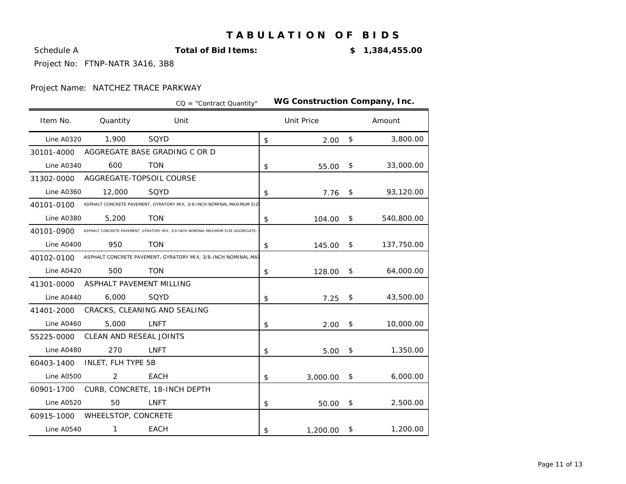Schedule A **Total of Bid Items:**

-8.6% **\$ 1,384,455.00**

Project No: FTNP-NATR 3A16, 3B8

|                   |                               |             | $CO = "Contract Quantity"$                                                       | WG Construction Company, Inc. |            |            |
|-------------------|-------------------------------|-------------|----------------------------------------------------------------------------------|-------------------------------|------------|------------|
| Item No.          | Quantity                      | Unit        |                                                                                  | <b>Unit Price</b>             |            | Amount     |
| <b>Line A0320</b> | 1,900                         | SQYD        |                                                                                  | \$<br>2.00                    | \$         | 3,800.00   |
| 30101-4000        | AGGREGATE BASE GRADING C OR D |             |                                                                                  |                               |            |            |
| <b>Line A0340</b> | 600                           | <b>TON</b>  |                                                                                  | \$<br>55.00                   | \$         | 33,000.00  |
| 31302-0000        | AGGREGATE-TOPSOIL COURSE      |             |                                                                                  |                               |            |            |
| <b>Line A0360</b> | 12,000                        | SQYD        |                                                                                  | \$<br>7.76                    | $\sqrt{3}$ | 93,120.00  |
| 40101-0100        |                               |             | ASPHALT CONCRETE PAVEMENT, GYRATORY MIX, 3/8-INCH NOMINAL MAXIMUM SIZ            |                               |            |            |
| <b>Line A0380</b> | 5,200                         | <b>TON</b>  |                                                                                  | \$<br>104.00                  | \$         | 540,800.00 |
| 40101-0900        |                               |             | ASPHALT CONCRETE PAVEMENT, GYRATORY MIX, 3/4-INCH NOMINAL MAXIMUM SIZE AGGREGATE |                               |            |            |
| <b>Line A0400</b> | 950                           | <b>TON</b>  |                                                                                  | \$<br>145.00                  | \$         | 137,750.00 |
| 40102-0100        |                               |             | ASPHALT CONCRETE PAVEMENT, GYRATORY MIX, 3/8-INCH NOMINAL MAI                    |                               |            |            |
| <b>Line A0420</b> | 500                           | <b>TON</b>  |                                                                                  | \$<br>128.00                  | \$         | 64,000.00  |
| 41301-0000        | ASPHALT PAVEMENT MILLING      |             |                                                                                  |                               |            |            |
| Line A0440        | 6,000                         | SQYD        |                                                                                  | \$<br>7.25                    | \$         | 43,500.00  |
| 41401-2000        | CRACKS, CLEANING AND SEALING  |             |                                                                                  |                               |            |            |
| <b>Line A0460</b> | 5,000                         | <b>LNFT</b> |                                                                                  | \$<br>2.00                    | \$         | 10,000.00  |
| 55225-0000        | CLEAN AND RESEAL JOINTS       |             |                                                                                  |                               |            |            |
| <b>Line A0480</b> | 270                           | <b>LNFT</b> |                                                                                  | \$<br>5.00                    | \$         | 1,350.00   |
| 60403-1400        | INLET, FLH TYPE 5B            |             |                                                                                  |                               |            |            |
| <b>Line A0500</b> | $\overline{2}$                | <b>EACH</b> |                                                                                  | \$<br>3,000.00                | $\sqrt{3}$ | 6,000.00   |
| 60901-1700        | CURB, CONCRETE, 18-INCH DEPTH |             |                                                                                  |                               |            |            |
| <b>Line A0520</b> | 50                            | <b>LNFT</b> |                                                                                  | \$<br>50.00                   | \$         | 2,500.00   |
| 60915-1000        | WHEELSTOP, CONCRETE           |             |                                                                                  |                               |            |            |
| <b>Line A0540</b> | 1                             | <b>EACH</b> |                                                                                  | \$<br>1,200.00                | \$         | 1,200.00   |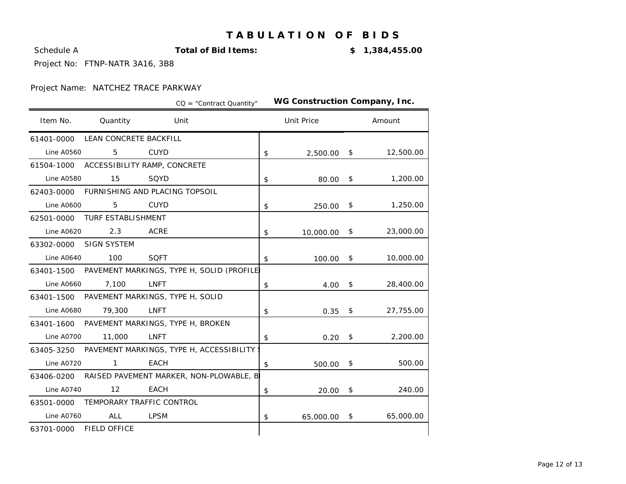Schedule A **Total of Bid Items:**

-8.6% **\$ 1,384,455.00**

Project No: FTNP-NATR 3A16, 3B8

|                   |                                         |             | $CO = "Contract Quantity"$                | WG Construction Company, Inc. |                 |
|-------------------|-----------------------------------------|-------------|-------------------------------------------|-------------------------------|-----------------|
| Item No.          | Quantity                                |             | Unit                                      | <b>Unit Price</b>             | Amount          |
| 61401-0000        | LEAN CONCRETE BACKFILL                  |             |                                           |                               |                 |
| <b>Line A0560</b> | 5                                       | <b>CUYD</b> |                                           | \$<br>2,500.00                | \$<br>12,500.00 |
|                   | 61504-1000 ACCESSIBILITY RAMP, CONCRETE |             |                                           |                               |                 |
| <b>Line A0580</b> | 15                                      | SQYD        |                                           | \$<br>80.00                   | \$<br>1,200.00  |
| 62403-0000        | FURNISHING AND PLACING TOPSOIL          |             |                                           |                               |                 |
| <b>Line A0600</b> | 5                                       | <b>CUYD</b> |                                           | \$<br>250.00                  | \$<br>1,250.00  |
| 62501-0000        | <b>TURF ESTABLISHMENT</b>               |             |                                           |                               |                 |
| <b>Line A0620</b> | 2.3                                     | <b>ACRE</b> |                                           | \$<br>10,000.00               | \$<br>23,000.00 |
| 63302-0000        | <b>SIGN SYSTEM</b>                      |             |                                           |                               |                 |
| <b>Line A0640</b> | 100                                     | <b>SQFT</b> |                                           | \$<br>100.00                  | \$<br>10,000.00 |
| 63401-1500        |                                         |             | PAVEMENT MARKINGS, TYPE H, SOLID (PROFILE |                               |                 |
| <b>Line A0660</b> | 7,100                                   | <b>LNFT</b> |                                           | \$<br>4.00                    | \$<br>28,400.00 |
| 63401-1500        | PAVEMENT MARKINGS, TYPE H, SOLID        |             |                                           |                               |                 |
| <b>Line A0680</b> | 79,300                                  | <b>LNFT</b> |                                           | \$<br>0.35                    | \$<br>27,755.00 |
| 63401-1600        | PAVEMENT MARKINGS, TYPE H, BROKEN       |             |                                           |                               |                 |
| <b>Line A0700</b> | 11,000                                  | <b>LNFT</b> |                                           | \$<br>0.20                    | \$<br>2,200.00  |
| 63405-3250        |                                         |             | PAVEMENT MARKINGS, TYPE H, ACCESSIBILITY  |                               |                 |
| <b>Line A0720</b> | $\mathbf{1}$                            | <b>EACH</b> |                                           | \$<br>500.00                  | \$<br>500.00    |
| 63406-0200        |                                         |             | RAISED PAVEMENT MARKER, NON-PLOWABLE, B   |                               |                 |
| <b>Line A0740</b> | 12                                      | <b>EACH</b> |                                           | \$<br>20.00                   | \$<br>240.00    |
| 63501-0000        | TEMPORARY TRAFFIC CONTROL               |             |                                           |                               |                 |
| <b>Line A0760</b> | <b>ALL</b>                              | <b>LPSM</b> |                                           | \$<br>65,000.00               | \$<br>65,000.00 |
| 63701-0000        | <b>FIELD OFFICE</b>                     |             |                                           |                               |                 |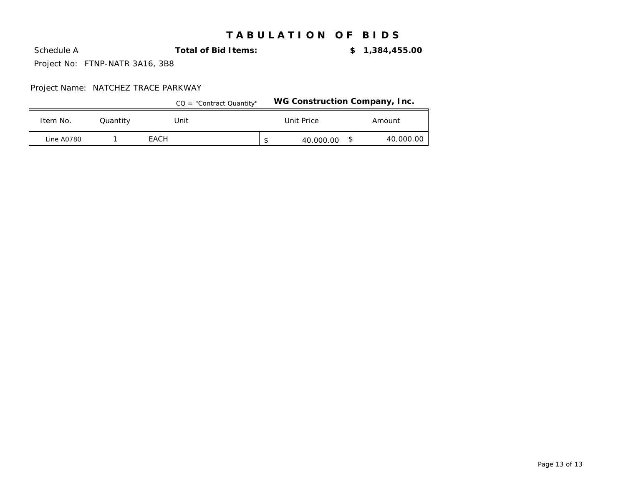Schedule A **Total of Bid Items:**

-8.6% **\$ 1,384,455.00**

Project No: FTNP-NATR 3A16, 3B8

|                   |          | $CO = "Contract Quantity"$ |                 | WG Construction Company, Inc. |
|-------------------|----------|----------------------------|-----------------|-------------------------------|
| Item No.          | Quantity | Unit                       | Unit Price      | Amount                        |
| <b>Line A0780</b> |          | EACH                       | \$<br>40,000.00 | 40,000.00                     |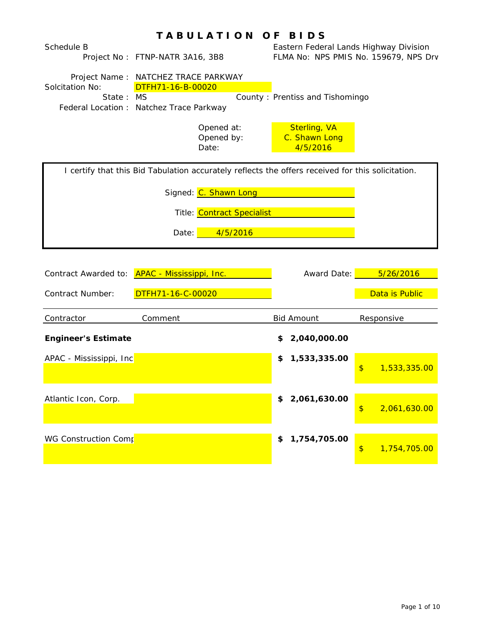|                            | TABULATION OF BIDS                                                                                                |                                                  |                                            |  |  |  |  |
|----------------------------|-------------------------------------------------------------------------------------------------------------------|--------------------------------------------------|--------------------------------------------|--|--|--|--|
| Schedule B                 | Project No: FTNP-NATR 3A16, 3B8                                                                                   | Eastern Federal Lands Highway Division           | FLMA No: NPS PMIS No. 159679, NPS Drv      |  |  |  |  |
| Solcitation No:<br>State:  | Project Name: NATCHEZ TRACE PARKWAY<br>DTFH71-16-B-00020<br><b>MS</b><br>Federal Location : Natchez Trace Parkway | County: Prentiss and Tishomingo                  |                                            |  |  |  |  |
|                            | Opened at:<br>Opened by:<br>Date:                                                                                 | <b>Sterling, VA</b><br>C. Shawn Long<br>4/5/2016 |                                            |  |  |  |  |
|                            | I certify that this Bid Tabulation accurately reflects the offers received for this solicitation.                 |                                                  |                                            |  |  |  |  |
|                            | Signed: C. Shawn Long                                                                                             |                                                  |                                            |  |  |  |  |
|                            | Title: Contract Specialist                                                                                        |                                                  |                                            |  |  |  |  |
|                            | 4/5/2016<br>Date:                                                                                                 |                                                  |                                            |  |  |  |  |
| Contract Awarded to:       | APAC - Mississippi, Inc.                                                                                          | Award Date:                                      | 5/26/2016                                  |  |  |  |  |
| <b>Contract Number:</b>    | DTFH71-16-C-00020                                                                                                 |                                                  | Data is Public                             |  |  |  |  |
| Contractor                 | Comment                                                                                                           | <b>Bid Amount</b>                                | Responsive                                 |  |  |  |  |
| <b>Engineer's Estimate</b> |                                                                                                                   | 2,040,000.00<br>\$                               |                                            |  |  |  |  |
| APAC - Mississippi, Inc    |                                                                                                                   | 1,533,335.00<br>\$                               | 1,533,335.00<br>\$                         |  |  |  |  |
|                            |                                                                                                                   |                                                  |                                            |  |  |  |  |
| Atlantic Icon, Corp.       |                                                                                                                   | 2,061,630.00<br>\$                               | 2,061,630.00<br>$\boldsymbol{\mathsf{\$}}$ |  |  |  |  |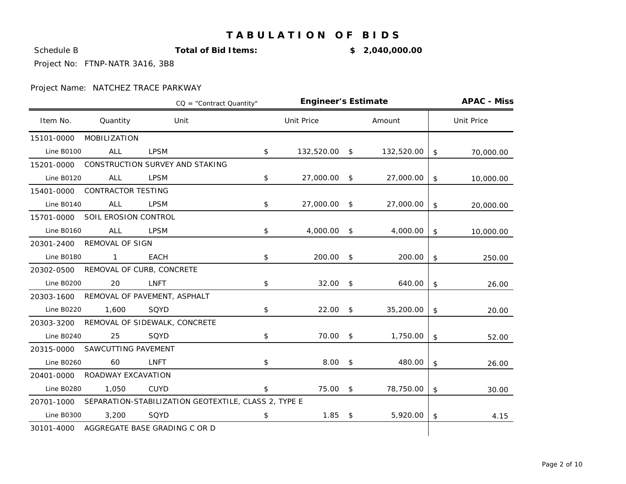**Schedule B Total of Bid Items: \$ 2,040,000.00** 

Project No: FTNP-NATR 3A16, 3B8

|                   |                           |                                                      | <b>Engineer's Estimate</b><br>CQ = "Contract Quantity" |                   |               |            | <b>APAC - Miss</b> |
|-------------------|---------------------------|------------------------------------------------------|--------------------------------------------------------|-------------------|---------------|------------|--------------------|
| Item No.          | Quantity                  | Unit                                                 |                                                        | <b>Unit Price</b> |               | Amount     | <b>Unit Price</b>  |
| 15101-0000        | MOBILIZATION              |                                                      |                                                        |                   |               |            |                    |
| <b>Line B0100</b> | <b>ALL</b>                | <b>LPSM</b>                                          | \$                                                     | 132,520.00 \$     |               | 132,520.00 | \$<br>70,000.00    |
| 15201-0000        |                           | CONSTRUCTION SURVEY AND STAKING                      |                                                        |                   |               |            |                    |
| <b>Line B0120</b> | <b>ALL</b>                | <b>LPSM</b>                                          | \$                                                     | 27,000.00 \$      |               | 27,000.00  | \$<br>10,000.00    |
| 15401-0000        | <b>CONTRACTOR TESTING</b> |                                                      |                                                        |                   |               |            |                    |
| Line B0140        | <b>ALL</b>                | <b>LPSM</b>                                          | \$                                                     | 27,000.00         | \$            | 27,000.00  | \$<br>20,000.00    |
| 15701-0000        | SOIL EROSION CONTROL      |                                                      |                                                        |                   |               |            |                    |
| <b>Line B0160</b> | <b>ALL</b>                | <b>LPSM</b>                                          | \$                                                     | 4,000.00 \$       |               | 4,000.00   | \$<br>10,000.00    |
| 20301-2400        | <b>REMOVAL OF SIGN</b>    |                                                      |                                                        |                   |               |            |                    |
| Line B0180        | $\mathbf{1}$              | <b>EACH</b>                                          | \$                                                     | 200.00            | \$            | 200.00     | \$<br>250.00       |
| 20302-0500        | REMOVAL OF CURB, CONCRETE |                                                      |                                                        |                   |               |            |                    |
| <b>Line B0200</b> | 20                        | <b>LNFT</b>                                          | \$                                                     | 32.00             | \$            | 640.00     | \$<br>26.00        |
| 20303-1600        |                           | REMOVAL OF PAVEMENT, ASPHALT                         |                                                        |                   |               |            |                    |
| <b>Line B0220</b> | 1,600                     | SQYD                                                 | \$                                                     | 22.00             | \$            | 35,200.00  | \$<br>20.00        |
| 20303-3200        |                           | REMOVAL OF SIDEWALK, CONCRETE                        |                                                        |                   |               |            |                    |
| <b>Line B0240</b> | 25                        | SQYD                                                 | \$                                                     | 70.00             | \$            | 1,750.00   | \$<br>52.00        |
| 20315-0000        | SAWCUTTING PAVEMENT       |                                                      |                                                        |                   |               |            |                    |
| <b>Line B0260</b> | 60                        | <b>LNFT</b>                                          | \$                                                     | 8.00              | $\frac{1}{2}$ | 480.00     | \$<br>26.00        |
| 20401-0000        | ROADWAY EXCAVATION        |                                                      |                                                        |                   |               |            |                    |
| <b>Line B0280</b> | 1,050                     | <b>CUYD</b>                                          | \$                                                     | 75.00             | \$            | 78,750.00  | \$<br>30.00        |
| 20701-1000        |                           | SEPARATION-STABILIZATION GEOTEXTILE, CLASS 2, TYPE E |                                                        |                   |               |            |                    |
| <b>Line B0300</b> | 3,200                     | SQYD                                                 | \$                                                     | 1.85              | $\frac{1}{2}$ | 5,920.00   | \$<br>4.15         |
| 30101-4000        |                           | AGGREGATE BASE GRADING C OR D                        |                                                        |                   |               |            |                    |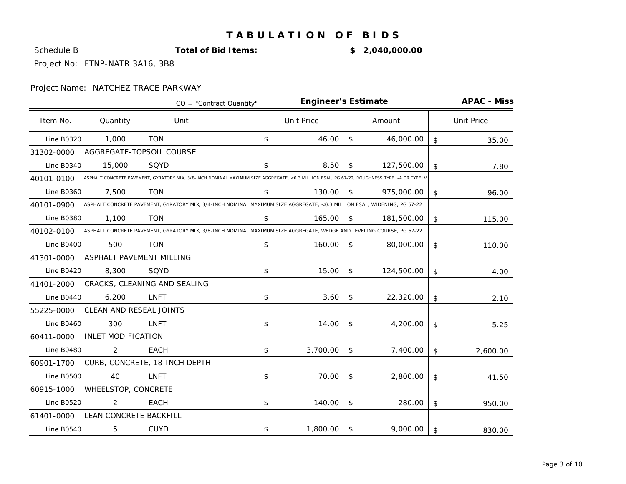**Schedule B Total of Bid Items: \$ 2,040,000.00** 

Project No: FTNP-NATR 3A16, 3B8

|                   | <b>Engineer's Estimate</b> |                                                                                                                                              | <b>APAC - Miss</b> |                   |                |            |                   |
|-------------------|----------------------------|----------------------------------------------------------------------------------------------------------------------------------------------|--------------------|-------------------|----------------|------------|-------------------|
| Item No.          | Quantity                   | Unit                                                                                                                                         |                    | <b>Unit Price</b> |                | Amount     | <b>Unit Price</b> |
| <b>Line B0320</b> | 1,000                      | <b>TON</b>                                                                                                                                   | \$                 | 46.00             | \$             | 46,000.00  | \$<br>35.00       |
| 31302-0000        |                            | AGGREGATE-TOPSOIL COURSE                                                                                                                     |                    |                   |                |            |                   |
| <b>Line B0340</b> | 15,000                     | SQYD                                                                                                                                         | \$                 | 8.50              | \$             | 127,500.00 | \$<br>7.80        |
| 40101-0100        |                            | ASPHALT CONCRETE PAVEMENT, GYRATORY MIX, 3/8-INCH NOMINAL MAXIMUM SIZE AGGREGATE, <0.3 MILLION ESAL, PG 67-22, ROUGHNESS TYPE I-A OR TYPE IV |                    |                   |                |            |                   |
| <b>Line B0360</b> | 7,500                      | <b>TON</b>                                                                                                                                   | \$                 | 130.00            | -\$            | 975,000.00 | \$<br>96.00       |
| 40101-0900        |                            | ASPHALT CONCRETE PAVEMENT, GYRATORY MIX, 3/4-INCH NOMINAL MAXIMUM SIZE AGGREGATE, <0.3 MILLION ESAL, WIDENING, PG 67-22                      |                    |                   |                |            |                   |
| <b>Line B0380</b> | 1,100                      | <b>TON</b>                                                                                                                                   | \$                 | 165.00            | -\$            | 181,500.00 | \$<br>115.00      |
| 40102-0100        |                            | ASPHALT CONCRETE PAVEMENT, GYRATORY MIX, 3/8-INCH NOMINAL MAXIMUM SIZE AGGREGATE, WEDGE AND LEVELING COURSE, PG 67-22                        |                    |                   |                |            |                   |
| <b>Line B0400</b> | 500                        | <b>TON</b>                                                                                                                                   | \$                 | 160.00            | \$             | 80,000.00  | \$<br>110.00      |
| 41301-0000        | ASPHALT PAVEMENT MILLING   |                                                                                                                                              |                    |                   |                |            |                   |
| <b>Line B0420</b> | 8,300                      | SQYD                                                                                                                                         | \$                 | 15.00             | $\mathfrak{F}$ | 124,500.00 | \$<br>4.00        |
| 41401-2000        |                            | CRACKS, CLEANING AND SEALING                                                                                                                 |                    |                   |                |            |                   |
| Line B0440        | 6,200                      | LNFT                                                                                                                                         | \$                 | 3.60              | \$             | 22,320.00  | \$<br>2.10        |
| 55225-0000        | CLEAN AND RESEAL JOINTS    |                                                                                                                                              |                    |                   |                |            |                   |
| <b>Line B0460</b> | 300                        | <b>LNFT</b>                                                                                                                                  | \$                 | 14.00             | \$             | 4,200.00   | \$<br>5.25        |
| 60411-0000        | <b>INLET MODIFICATION</b>  |                                                                                                                                              |                    |                   |                |            |                   |
| Line B0480        | 2                          | <b>EACH</b>                                                                                                                                  | \$                 | 3,700.00          | $^{\circ}$     | 7,400.00   | \$<br>2,600.00    |
| 60901-1700        |                            | CURB, CONCRETE, 18-INCH DEPTH                                                                                                                |                    |                   |                |            |                   |
| <b>Line B0500</b> | 40                         | LNFT                                                                                                                                         | \$                 | 70.00             | \$             | 2,800.00   | \$<br>41.50       |
| 60915-1000        | WHEELSTOP, CONCRETE        |                                                                                                                                              |                    |                   |                |            |                   |
| <b>Line B0520</b> | 2                          | <b>EACH</b>                                                                                                                                  | \$                 | 140.00            | \$             | 280.00     | \$<br>950.00      |
| 61401-0000        | LEAN CONCRETE BACKFILL     |                                                                                                                                              |                    |                   |                |            |                   |
| <b>Line B0540</b> | 5                          | <b>CUYD</b>                                                                                                                                  | \$                 | 1,800.00          | \$             | 9,000.00   | \$<br>830.00      |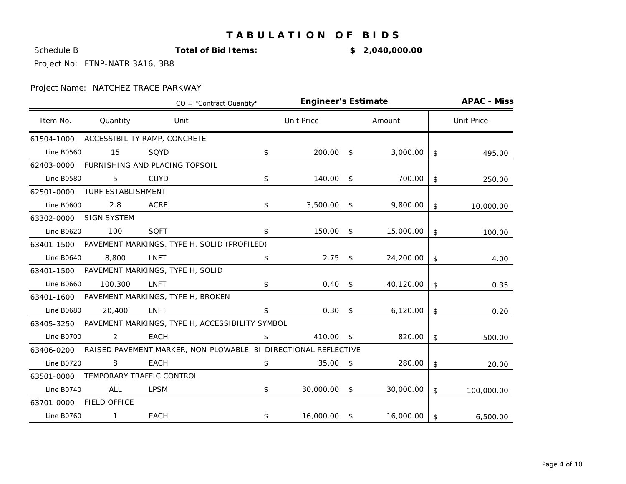**Schedule B Total of Bid Items: \$ 2,040,000.00** 

Project No: FTNP-NATR 3A16, 3B8

|                   |                           | $CO = "Contract Quantity"$                                      | <b>Engineer's Estimate</b> | <b>APAC - Miss</b> |           |                   |
|-------------------|---------------------------|-----------------------------------------------------------------|----------------------------|--------------------|-----------|-------------------|
| Item No.          | Quantity                  | Unit                                                            | <b>Unit Price</b>          |                    | Amount    | <b>Unit Price</b> |
| 61504-1000        |                           | ACCESSIBILITY RAMP, CONCRETE                                    |                            |                    |           |                   |
| <b>Line B0560</b> | 15                        | SQYD                                                            | \$<br>200.00               | \$                 | 3,000.00  | \$<br>495.00      |
| 62403-0000        |                           | FURNISHING AND PLACING TOPSOIL                                  |                            |                    |           |                   |
| Line B0580        | 5                         | <b>CUYD</b>                                                     | \$<br>140.00               | $\mathsf{s}$       | 700.00    | \$<br>250.00      |
| 62501-0000        | <b>TURF ESTABLISHMENT</b> |                                                                 |                            |                    |           |                   |
| <b>Line B0600</b> | 2.8                       | <b>ACRE</b>                                                     | \$<br>$3,500.00$ \$        |                    | 9,800.00  | \$<br>10,000.00   |
| 63302-0000        | <b>SIGN SYSTEM</b>        |                                                                 |                            |                    |           |                   |
| <b>Line B0620</b> | 100                       | <b>SQFT</b>                                                     | \$<br>150.00               | \$                 | 15,000.00 | \$<br>100.00      |
|                   |                           | 63401-1500 PAVEMENT MARKINGS, TYPE H, SOLID (PROFILED)          |                            |                    |           |                   |
| <b>Line B0640</b> | 8,800                     | <b>LNFT</b>                                                     | \$<br>2.75                 | \$                 | 24,200.00 | \$<br>4.00        |
|                   |                           | 63401-1500 PAVEMENT MARKINGS, TYPE H, SOLID                     |                            |                    |           |                   |
| <b>Line B0660</b> | 100,300                   | <b>LNFT</b>                                                     | \$<br>$0.40 \quad$ \$      |                    | 40,120.00 | \$<br>0.35        |
|                   |                           | 63401-1600 PAVEMENT MARKINGS, TYPE H, BROKEN                    |                            |                    |           |                   |
| <b>Line B0680</b> | 20,400                    | <b>LNFT</b>                                                     | \$<br>0.30                 | \$                 | 6,120.00  | \$<br>0.20        |
| 63405-3250        |                           | PAVEMENT MARKINGS, TYPE H, ACCESSIBILITY SYMBOL                 |                            |                    |           |                   |
| Line B0700        | 2                         | <b>EACH</b>                                                     | \$<br>410.00               | \$                 | 820.00    | \$<br>500.00      |
| 63406-0200        |                           | RAISED PAVEMENT MARKER, NON-PLOWABLE, BI-DIRECTIONAL REFLECTIVE |                            |                    |           |                   |
| <b>Line B0720</b> | 8                         | <b>EACH</b>                                                     | \$<br>35.00                | \$                 | 280.00    | \$<br>20.00       |
| 63501-0000        |                           | TEMPORARY TRAFFIC CONTROL                                       |                            |                    |           |                   |
| Line B0740        | <b>ALL</b>                | <b>LPSM</b>                                                     | \$<br>30,000.00 \$         |                    | 30,000.00 | \$<br>100,000.00  |
| 63701-0000        | <b>FIELD OFFICE</b>       |                                                                 |                            |                    |           |                   |
| <b>Line B0760</b> | 1                         | EACH                                                            | \$<br>16,000.00 \$         |                    | 16,000.00 | \$<br>6,500.00    |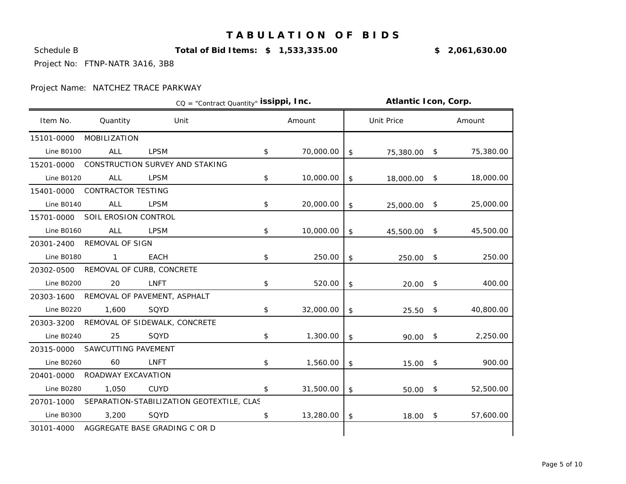Schedule B **Total of Bid Items: \$ 1,533,335.00** 1.1% **\$ 2,061,630.00**

Project No: FTNP-NATR 3A16, 3B8

|                   |                                      |                                           | CQ = "Contract Quantity" issippi, Inc. |           |            | Atlantic Icon, Corp. |  |           |  |
|-------------------|--------------------------------------|-------------------------------------------|----------------------------------------|-----------|------------|----------------------|--|-----------|--|
| Item No.          | Quantity                             | Unit                                      |                                        | Amount    |            | <b>Unit Price</b>    |  | Amount    |  |
| 15101-0000        | MOBILIZATION                         |                                           |                                        |           |            |                      |  |           |  |
| <b>Line B0100</b> | <b>ALL</b>                           | <b>LPSM</b>                               | \$                                     | 70,000.00 | $\sqrt{2}$ | 75,380.00 \$         |  | 75,380.00 |  |
| 15201-0000        |                                      | CONSTRUCTION SURVEY AND STAKING           |                                        |           |            |                      |  |           |  |
| <b>Line B0120</b> | <b>ALL</b>                           | <b>LPSM</b>                               | \$                                     | 10,000.00 | \$         | 18,000.00 \$         |  | 18,000.00 |  |
| 15401-0000        | <b>CONTRACTOR TESTING</b>            |                                           |                                        |           |            |                      |  |           |  |
| Line B0140        | <b>ALL</b>                           | <b>LPSM</b>                               | \$                                     | 20,000.00 | \$         | 25,000.00 \$         |  | 25,000.00 |  |
| 15701-0000        | SOIL EROSION CONTROL                 |                                           |                                        |           |            |                      |  |           |  |
| <b>Line B0160</b> | ALL                                  | <b>LPSM</b>                               | \$                                     | 10,000.00 | \$         | 45,500.00 \$         |  | 45,500.00 |  |
| 20301-2400        | <b>REMOVAL OF SIGN</b>               |                                           |                                        |           |            |                      |  |           |  |
| Line B0180        | $\mathbf{1}$                         | <b>EACH</b>                               | \$                                     | 250.00    | \$         | 250.00 \$            |  | 250.00    |  |
|                   | 20302-0500 REMOVAL OF CURB, CONCRETE |                                           |                                        |           |            |                      |  |           |  |
| <b>Line B0200</b> | 20                                   | LNFT                                      | \$                                     | 520.00    | \$         | $20.00$ \$           |  | 400.00    |  |
| 20303-1600        |                                      | REMOVAL OF PAVEMENT, ASPHALT              |                                        |           |            |                      |  |           |  |
| <b>Line B0220</b> | 1,600                                | SQYD                                      | \$                                     | 32,000.00 | \$         | $25.50$ \$           |  | 40,800.00 |  |
| 20303-3200        |                                      | REMOVAL OF SIDEWALK, CONCRETE             |                                        |           |            |                      |  |           |  |
| Line B0240        | 25                                   | SQYD                                      | \$                                     | 1,300.00  | \$         | $90.00$ \$           |  | 2,250.00  |  |
| 20315-0000        | SAWCUTTING PAVEMENT                  |                                           |                                        |           |            |                      |  |           |  |
| <b>Line B0260</b> | 60                                   | LNFT                                      | \$                                     | 1,560.00  | \$         | $15.00$ \$           |  | 900.00    |  |
| 20401-0000        | ROADWAY EXCAVATION                   |                                           |                                        |           |            |                      |  |           |  |
| <b>Line B0280</b> | 1,050                                | <b>CUYD</b>                               | \$                                     | 31,500.00 | \$         | 50.00 \$             |  | 52,500.00 |  |
| 20701-1000        |                                      | SEPARATION-STABILIZATION GEOTEXTILE, CLAS |                                        |           |            |                      |  |           |  |
| Line B0300        | 3,200                                | SQYD                                      | \$                                     | 13,280.00 | \$         | $18.00$ \$           |  | 57,600.00 |  |
| 30101-4000        |                                      | AGGREGATE BASE GRADING C OR D             |                                        |           |            |                      |  |           |  |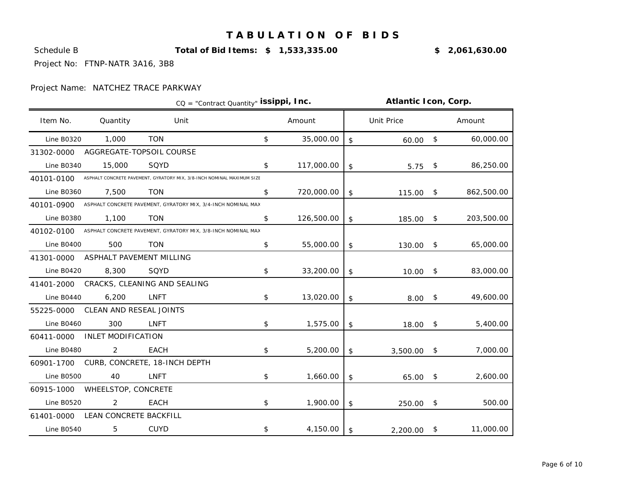Schedule B **Total of Bid Items: \$ 1,533,335.00** 1.1% **\$ 2,061,630.00**

Project No: FTNP-NATR 3A16, 3B8

|                   |                           |                                                                        | CQ = "Contract Quantity" issippi, Inc. | <b>Atlantic Icon, Corp.</b> |    |                   |              |            |
|-------------------|---------------------------|------------------------------------------------------------------------|----------------------------------------|-----------------------------|----|-------------------|--------------|------------|
| Item No.          | Quantity                  | Unit                                                                   |                                        | Amount                      |    | <b>Unit Price</b> |              | Amount     |
| <b>Line B0320</b> | 1,000                     | <b>TON</b>                                                             | \$                                     | 35,000.00                   | \$ | $60.00$ \$        |              | 60,000.00  |
| 31302-0000        |                           | AGGREGATE-TOPSOIL COURSE                                               |                                        |                             |    |                   |              |            |
| <b>Line B0340</b> | 15,000                    | SQYD                                                                   | \$                                     | 117,000.00                  | \$ | $5.75$ \$         |              | 86,250.00  |
| 40101-0100        |                           | ASPHALT CONCRETE PAVEMENT, GYRATORY MIX, 3/8-INCH NOMINAL MAXIMUM SIZE |                                        |                             |    |                   |              |            |
| <b>Line B0360</b> | 7,500                     | <b>TON</b>                                                             | \$                                     | 720,000.00                  | \$ | 115.00            | -\$          | 862,500.00 |
| 40101-0900        |                           | ASPHALT CONCRETE PAVEMENT, GYRATORY MIX, 3/4-INCH NOMINAL MAX          |                                        |                             |    |                   |              |            |
| <b>Line B0380</b> | 1,100                     | <b>TON</b>                                                             | \$                                     | 126,500.00                  | \$ | 185.00            | \$           | 203,500.00 |
| 40102-0100        |                           | ASPHALT CONCRETE PAVEMENT, GYRATORY MIX, 3/8-INCH NOMINAL MAX          |                                        |                             |    |                   |              |            |
| <b>Line B0400</b> | 500                       | <b>TON</b>                                                             | \$                                     | 55,000.00                   | \$ | 130.00 \$         |              | 65,000.00  |
| 41301-0000        | ASPHALT PAVEMENT MILLING  |                                                                        |                                        |                             |    |                   |              |            |
| <b>Line B0420</b> | 8,300                     | SQYD                                                                   | \$                                     | 33,200.00                   | \$ | 10.00             | $\mathsf{S}$ | 83,000.00  |
| 41401-2000        |                           | CRACKS, CLEANING AND SEALING                                           |                                        |                             |    |                   |              |            |
| Line B0440        | 6,200                     | <b>LNFT</b>                                                            | \$                                     | 13,020.00                   | \$ | $8.00*$           |              | 49,600.00  |
| 55225-0000        | CLEAN AND RESEAL JOINTS   |                                                                        |                                        |                             |    |                   |              |            |
| <b>Line B0460</b> | 300                       | LNFT                                                                   | \$                                     | 1,575.00                    | \$ | 18.00             | \$           | 5,400.00   |
| 60411-0000        | <b>INLET MODIFICATION</b> |                                                                        |                                        |                             |    |                   |              |            |
| Line B0480        | 2                         | <b>EACH</b>                                                            | \$                                     | 5,200.00                    | \$ | $3,500.00$ \$     |              | 7,000.00   |
| 60901-1700        |                           | CURB, CONCRETE, 18-INCH DEPTH                                          |                                        |                             |    |                   |              |            |
| <b>Line B0500</b> | 40                        | <b>LNFT</b>                                                            | \$                                     | 1,660.00                    | \$ | 65.00 \$          |              | 2,600.00   |
| 60915-1000        | WHEELSTOP, CONCRETE       |                                                                        |                                        |                             |    |                   |              |            |
| <b>Line B0520</b> | 2                         | <b>EACH</b>                                                            | \$                                     | 1,900.00                    | \$ | 250.00            | - \$         | 500.00     |
| 61401-0000        | LEAN CONCRETE BACKFILL    |                                                                        |                                        |                             |    |                   |              |            |
| <b>Line B0540</b> | 5                         | <b>CUYD</b>                                                            | \$                                     | 4,150.00                    | \$ | 2,200.00          | -\$          | 11,000.00  |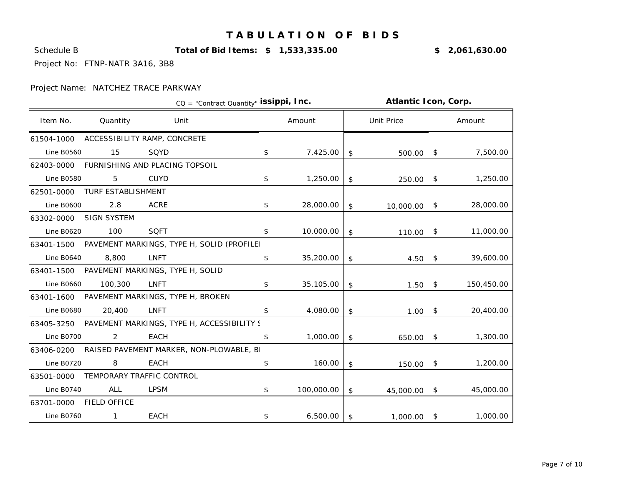Schedule B **Total of Bid Items: \$ 1,533,335.00** 1.1% **\$ 2,061,630.00**

Project No: FTNP-NATR 3A16, 3B8

|                   |                     |                                                       | CQ = "Contract Quantity" issippi, Inc. | Atlantic Icon, Corp. |               |              |     |            |
|-------------------|---------------------|-------------------------------------------------------|----------------------------------------|----------------------|---------------|--------------|-----|------------|
| Item No.          | Quantity            | Unit                                                  |                                        | Amount               |               | Unit Price   |     | Amount     |
| 61504-1000        |                     | ACCESSIBILITY RAMP, CONCRETE                          |                                        |                      |               |              |     |            |
| <b>Line B0560</b> | 15                  | SQYD                                                  | \$                                     | 7,425.00             | \$            | 500.00 \$    |     | 7,500.00   |
| 62403-0000        |                     | FURNISHING AND PLACING TOPSOIL                        |                                        |                      |               |              |     |            |
| <b>Line B0580</b> | 5                   | <b>CUYD</b>                                           | \$                                     | 1,250.00             | \$            | 250.00 \$    |     | 1,250.00   |
| 62501-0000        | TURF ESTABLISHMENT  |                                                       |                                        |                      |               |              |     |            |
| <b>Line B0600</b> | 2.8                 | <b>ACRE</b>                                           | \$                                     | 28,000.00            | \$            | 10,000.00    | \$  | 28,000.00  |
| 63302-0000        | SIGN SYSTEM         |                                                       |                                        |                      |               |              |     |            |
| <b>Line B0620</b> | 100                 | <b>SQFT</b>                                           | $\mathfrak{L}$                         | 10,000.00            | \$            | $110.00$ \$  |     | 11,000.00  |
|                   |                     | 63401-1500 PAVEMENT MARKINGS, TYPE H, SOLID (PROFILE) |                                        |                      |               |              |     |            |
| <b>Line B0640</b> | 8,800               | <b>LNFT</b>                                           | \$                                     | 35,200.00            | \$            | $4.50$ \$    |     | 39,600.00  |
|                   |                     | 63401-1500 PAVEMENT MARKINGS, TYPE H, SOLID           |                                        |                      |               |              |     |            |
| <b>Line B0660</b> | 100,300             | <b>LNFT</b>                                           | \$                                     | 35,105.00            | \$            | $1.50$ \$    |     | 150,450.00 |
|                   |                     | 63401-1600 PAVEMENT MARKINGS, TYPE H, BROKEN          |                                        |                      |               |              |     |            |
| <b>Line B0680</b> | 20,400              | <b>LNFT</b>                                           | $\mathfrak{L}$                         | 4,080.00             | \$            | $1.00$ \$    |     | 20,400.00  |
|                   |                     | 63405-3250 PAVEMENT MARKINGS, TYPE H, ACCESSIBILITY S |                                        |                      |               |              |     |            |
| Line B0700        | 2                   | EACH                                                  | \$                                     | 1,000.00             | \$            | 650.00 \$    |     | 1,300.00   |
| 63406-0200        |                     | RAISED PAVEMENT MARKER, NON-PLOWABLE, B               |                                        |                      |               |              |     |            |
| <b>Line B0720</b> | 8                   | EACH                                                  | \$                                     | 160.00               | \$            | 150.00 \$    |     | 1,200.00   |
| 63501-0000        |                     | TEMPORARY TRAFFIC CONTROL                             |                                        |                      |               |              |     |            |
| <b>Line B0740</b> | <b>ALL</b>          | <b>LPSM</b>                                           | \$                                     | 100,000.00           | $\frac{1}{2}$ | 45,000.00 \$ |     | 45,000.00  |
| 63701-0000        | <b>FIELD OFFICE</b> |                                                       |                                        |                      |               |              |     |            |
| <b>Line B0760</b> | $\overline{1}$      | <b>EACH</b>                                           | \$                                     | 6,500.00             | \$            | 1,000.00     | -\$ | 1,000.00   |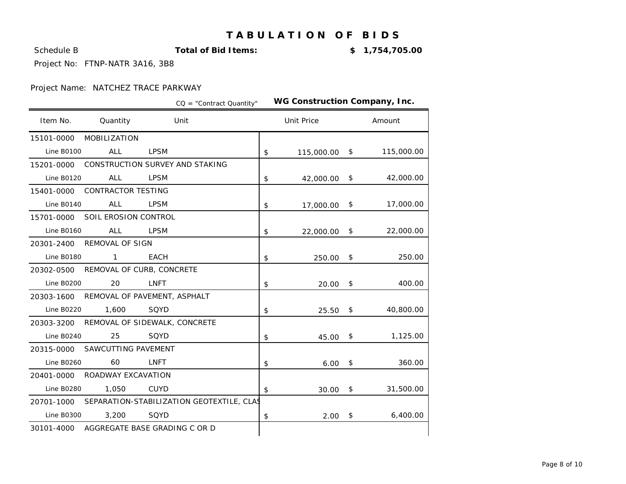Schedule B **Total of Bid Items:**

-14.0% **\$ 1,754,705.00**

Project No: FTNP-NATR 3A16, 3B8

|                   |                                            |             | $CO = "Contract Quantity"$                           |                | WG Construction Company, Inc. |              |            |
|-------------------|--------------------------------------------|-------------|------------------------------------------------------|----------------|-------------------------------|--------------|------------|
| Item No.          | Quantity                                   |             | Unit                                                 |                | <b>Unit Price</b>             |              | Amount     |
| 15101-0000        | MOBILIZATION                               |             |                                                      |                |                               |              |            |
| <b>Line B0100</b> | <b>ALL</b>                                 | <b>LPSM</b> |                                                      | \$             | 115,000.00                    | $\sqrt{5}$   | 115,000.00 |
|                   | 15201-0000 CONSTRUCTION SURVEY AND STAKING |             |                                                      |                |                               |              |            |
| <b>Line B0120</b> | ALL                                        | <b>LPSM</b> |                                                      | $\mathfrak{S}$ | 42,000.00                     | \$           | 42,000.00  |
|                   | 15401-0000 CONTRACTOR TESTING              |             |                                                      |                |                               |              |            |
| <b>Line B0140</b> | ALL                                        | <b>LPSM</b> |                                                      | \$             | 17,000.00                     | \$           | 17,000.00  |
| 15701-0000        | SOIL EROSION CONTROL                       |             |                                                      |                |                               |              |            |
| Line B0160        | <b>ALL</b>                                 | LPSM        |                                                      | \$             | 22,000.00                     | $\mathsf{S}$ | 22,000.00  |
|                   | 20301-2400 REMOVAL OF SIGN                 |             |                                                      |                |                               |              |            |
| Line B0180        | $\mathbf{1}$                               | <b>EACH</b> |                                                      | \$             | 250.00                        | \$           | 250.00     |
|                   | 20302-0500 REMOVAL OF CURB, CONCRETE       |             |                                                      |                |                               |              |            |
| <b>Line B0200</b> | 20                                         | LNFT        |                                                      | \$             | $20.00$ \$                    |              | 400.00     |
|                   | 20303-1600 REMOVAL OF PAVEMENT, ASPHALT    |             |                                                      |                |                               |              |            |
| <b>Line B0220</b> | 1,600                                      | SQYD        |                                                      | $\mathfrak{L}$ | $25.50$ \$                    |              | 40,800.00  |
| 20303-3200        | REMOVAL OF SIDEWALK, CONCRETE              |             |                                                      |                |                               |              |            |
| <b>Line B0240</b> | 25                                         | SQYD        |                                                      | \$             | 45.00                         | \$           | 1,125.00   |
| 20315-0000        | SAWCUTTING PAVEMENT                        |             |                                                      |                |                               |              |            |
| Line B0260        | 60                                         | LNFT        |                                                      | \$             | $6.00$ \$                     |              | 360.00     |
| 20401-0000        | ROADWAY EXCAVATION                         |             |                                                      |                |                               |              |            |
| <b>Line B0280</b> | 1,050                                      | <b>CUYD</b> |                                                      | \$             | 30.00                         | \$           | 31,500.00  |
|                   |                                            |             | 20701-1000 SEPARATION-STABILIZATION GEOTEXTILE, CLAS |                |                               |              |            |
| <b>Line B0300</b> | 3,200                                      | SQYD        |                                                      | \$             | 2.00                          | \$           | 6,400.00   |
|                   | 30101-4000 AGGREGATE BASE GRADING C OR D   |             |                                                      |                |                               |              |            |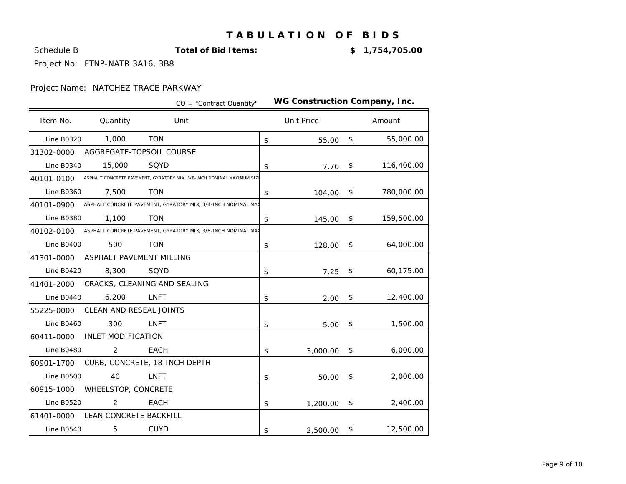Schedule B **Total of Bid Items:**

-14.0% **\$ 1,754,705.00**

Project No: FTNP-NATR 3A16, 3B8

|                   |                           |                                                                       | $CO = "Contract Quantity"$ | WG Construction Company, Inc. |              |            |
|-------------------|---------------------------|-----------------------------------------------------------------------|----------------------------|-------------------------------|--------------|------------|
| Item No.          | Quantity                  | Unit                                                                  |                            | <b>Unit Price</b>             |              | Amount     |
| <b>Line B0320</b> | 1,000                     | <b>TON</b>                                                            |                            | \$<br>55.00                   | \$           | 55,000.00  |
| 31302-0000        | AGGREGATE-TOPSOIL COURSE  |                                                                       |                            |                               |              |            |
| Line B0340        | 15,000                    | SQYD                                                                  |                            | \$<br>7.76                    | \$           | 116,400.00 |
| 40101-0100        |                           | ASPHALT CONCRETE PAVEMENT, GYRATORY MIX, 3/8-INCH NOMINAL MAXIMUM SIZ |                            |                               |              |            |
| Line B0360        | 7,500                     | <b>TON</b>                                                            |                            | \$<br>104.00                  | $\mathsf{S}$ | 780,000.00 |
| 40101-0900        |                           | ASPHALT CONCRETE PAVEMENT, GYRATORY MIX, 3/4-INCH NOMINAL MAI         |                            |                               |              |            |
| <b>Line B0380</b> | 1,100                     | <b>TON</b>                                                            |                            | \$<br>145.00                  | $\mathsf{S}$ | 159,500.00 |
| 40102-0100        |                           | ASPHALT CONCRETE PAVEMENT, GYRATORY MIX, 3/8-INCH NOMINAL MAI         |                            |                               |              |            |
| <b>Line B0400</b> | 500                       | <b>TON</b>                                                            |                            | \$<br>128.00                  | \$           | 64,000.00  |
| 41301-0000        | ASPHALT PAVEMENT MILLING  |                                                                       |                            |                               |              |            |
| <b>Line B0420</b> | 8,300                     | SQYD                                                                  |                            | \$<br>7.25                    | \$           | 60,175.00  |
| 41401-2000        |                           | CRACKS, CLEANING AND SEALING                                          |                            |                               |              |            |
| Line B0440        | 6,200                     | <b>LNFT</b>                                                           |                            | \$<br>2.00                    | \$           | 12,400.00  |
| 55225-0000        | CLEAN AND RESEAL JOINTS   |                                                                       |                            |                               |              |            |
| Line B0460        | 300                       | <b>LNFT</b>                                                           |                            | \$<br>5.00                    | \$           | 1,500.00   |
| 60411-0000        | <b>INLET MODIFICATION</b> |                                                                       |                            |                               |              |            |
| <b>Line B0480</b> | 2                         | <b>EACH</b>                                                           |                            | \$<br>3,000.00                | \$           | 6,000.00   |
| 60901-1700        |                           | CURB, CONCRETE, 18-INCH DEPTH                                         |                            |                               |              |            |
| <b>Line B0500</b> | 40                        | <b>LNFT</b>                                                           |                            | \$<br>50.00                   | $\sqrt{5}$   | 2,000.00   |
| 60915-1000        | WHEELSTOP, CONCRETE       |                                                                       |                            |                               |              |            |
| <b>Line B0520</b> | 2                         | <b>EACH</b>                                                           |                            | \$<br>1,200.00                | \$           | 2,400.00   |
| 61401-0000        | LEAN CONCRETE BACKFILL    |                                                                       |                            |                               |              |            |
| <b>Line B0540</b> | 5                         | <b>CUYD</b>                                                           |                            | \$<br>2,500.00                | \$           | 12,500.00  |